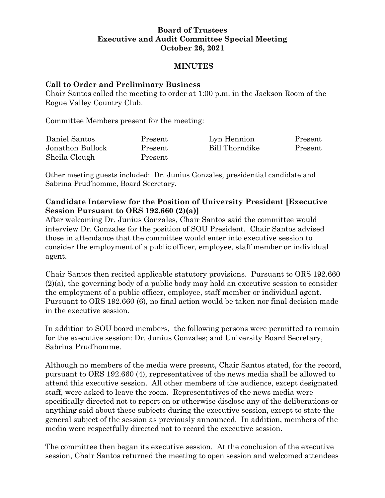## **Board of Trustees Executive and Audit Committee Special Meeting October 26, 2021**

### **MINUTES**

#### **Call to Order and Preliminary Business**

Chair Santos called the meeting to order at 1:00 p.m. in the Jackson Room of the Rogue Valley Country Club.

Committee Members present for the meeting:

| Daniel Santos    | Present | Lyn Hennion    | Present |
|------------------|---------|----------------|---------|
| Jonathon Bullock | Present | Bill Thorndike | Present |
| Sheila Clough    | Present |                |         |

Other meeting guests included: Dr. Junius Gonzales, presidential candidate and Sabrina Prud'homme, Board Secretary.

## **Candidate Interview for the Position of University President [Executive Session Pursuant to ORS 192.660 (2)(a)]**

After welcoming Dr. Junius Gonzales, Chair Santos said the committee would interview Dr. Gonzales for the position of SOU President. Chair Santos advised those in attendance that the committee would enter into executive session to consider the employment of a public officer, employee, staff member or individual agent.

Chair Santos then recited applicable statutory provisions. Pursuant to ORS 192.660 (2)(a), the governing body of a public body may hold an executive session to consider the employment of a public officer, employee, staff member or individual agent. Pursuant to ORS 192.660 (6), no final action would be taken nor final decision made in the executive session.

In addition to SOU board members, the following persons were permitted to remain for the executive session: Dr. Junius Gonzales; and University Board Secretary, Sabrina Prud'homme.

Although no members of the media were present, Chair Santos stated, for the record, pursuant to ORS 192.660 (4), representatives of the news media shall be allowed to attend this executive session. All other members of the audience, except designated staff, were asked to leave the room. Representatives of the news media were specifically directed not to report on or otherwise disclose any of the deliberations or anything said about these subjects during the executive session, except to state the general subject of the session as previously announced. In addition, members of the media were respectfully directed not to record the executive session.

The committee then began its executive session. At the conclusion of the executive session, Chair Santos returned the meeting to open session and welcomed attendees